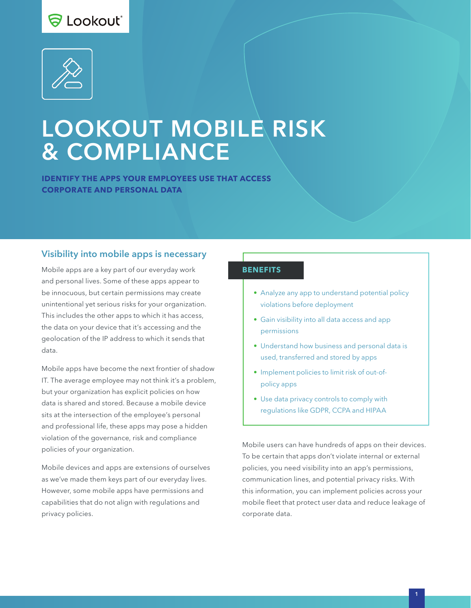# S Lookout\*



# LOOKOUT MOBILE RISK & COMPLIANCE

**IDENTIFY THE APPS YOUR EMPLOYEES USE THAT ACCESS CORPORATE AND PERSONAL DATA**

#### Visibility into mobile apps is necessary

Mobile apps are a key part of our everyday work and personal lives. Some of these apps appear to be innocuous, but certain permissions may create unintentional yet serious risks for your organization. This includes the other apps to which it has access, the data on your device that it's accessing and the geolocation of the IP address to which it sends that data.

Mobile apps have become the next frontier of shadow IT. The average employee may not think it's a problem, but your organization has explicit policies on how data is shared and stored. Because a mobile device sits at the intersection of the employee's personal and professional life, these apps may pose a hidden violation of the governance, risk and compliance policies of your organization.

Mobile devices and apps are extensions of ourselves as we've made them keys part of our everyday lives. However, some mobile apps have permissions and capabilities that do not align with regulations and privacy policies.

#### **BENEFITS**

- Analyze any app to understand potential policy violations before deployment
- Gain visibility into all data access and app permissions
- Understand how business and personal data is used, transferred and stored by apps
- Implement policies to limit risk of out-ofpolicy apps
- Use data privacy controls to comply with regulations like GDPR, CCPA and HIPAA

Mobile users can have hundreds of apps on their devices. To be certain that apps don't violate internal or external policies, you need visibility into an app's permissions, communication lines, and potential privacy risks. With this information, you can implement policies across your mobile fleet that protect user data and reduce leakage of corporate data.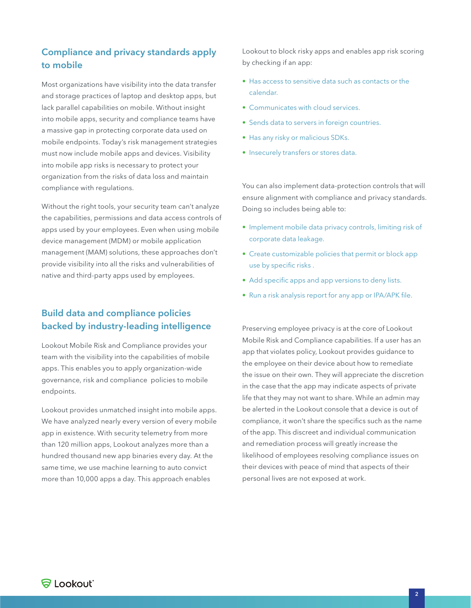# Compliance and privacy standards apply to mobile

Most organizations have visibility into the data transfer and storage practices of laptop and desktop apps, but lack parallel capabilities on mobile. Without insight into mobile apps, security and compliance teams have a massive gap in protecting corporate data used on mobile endpoints. Today's risk management strategies must now include mobile apps and devices. Visibility into mobile app risks is necessary to protect your organization from the risks of data loss and maintain compliance with regulations.

Without the right tools, your security team can't analyze the capabilities, permissions and data access controls of apps used by your employees. Even when using mobile device management (MDM) or mobile application management (MAM) solutions, these approaches don't provide visibility into all the risks and vulnerabilities of native and third-party apps used by employees.

### Build data and compliance policies backed by industry-leading intelligence

Lookout Mobile Risk and Compliance provides your team with the visibility into the capabilities of mobile apps. This enables you to apply organization-wide governance, risk and compliance policies to mobile endpoints.

Lookout provides unmatched insight into mobile apps. We have analyzed nearly every version of every mobile app in existence. With security telemetry from more than 120 million apps, Lookout analyzes more than a hundred thousand new app binaries every day. At the same time, we use machine learning to auto convict more than 10,000 apps a day. This approach enables

Lookout to block risky apps and enables app risk scoring by checking if an app:

- Has access to sensitive data such as contacts or the calendar.
- Communicates with cloud services.
- Sends data to servers in foreign countries.
- Has any risky or malicious SDKs.
- Insecurely transfers or stores data.

You can also implement data-protection controls that will ensure alignment with compliance and privacy standards. Doing so includes being able to:

- Implement mobile data privacy controls, limiting risk of corporate data leakage.
- Create customizable policies that permit or block app use by specific risks .
- Add specific apps and app versions to deny lists.
- Run a risk analysis report for any app or IPA/APK file.

Preserving employee privacy is at the core of Lookout Mobile Risk and Compliance capabilities. If a user has an app that violates policy, Lookout provides guidance to the employee on their device about how to remediate the issue on their own. They will appreciate the discretion in the case that the app may indicate aspects of private life that they may not want to share. While an admin may be alerted in the Lookout console that a device is out of compliance, it won't share the specifics such as the name of the app. This discreet and individual communication and remediation process will greatly increase the likelihood of employees resolving compliance issues on their devices with peace of mind that aspects of their personal lives are not exposed at work.